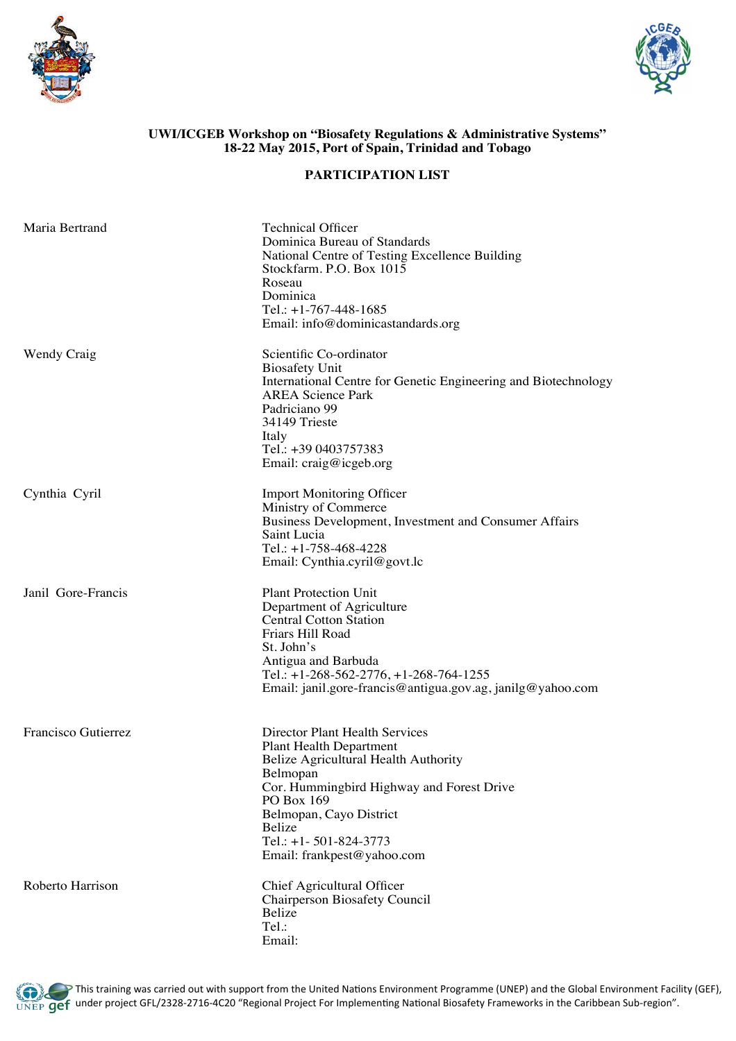



## **UWI/ICGEB Workshop on "Biosafety Regulations & Administrative Systems" 18-22 May 2015, Port of Spain, Trinidad and Tobago**

## **PARTICIPATION LIST**

| Maria Bertrand      | <b>Technical Officer</b><br>Dominica Bureau of Standards<br>National Centre of Testing Excellence Building<br>Stockfarm. P.O. Box 1015<br>Roseau<br>Dominica<br>Tel.: $+1-767-448-1685$<br>Email: info@dominicastandards.org                                                       |
|---------------------|------------------------------------------------------------------------------------------------------------------------------------------------------------------------------------------------------------------------------------------------------------------------------------|
| <b>Wendy Craig</b>  | Scientific Co-ordinator<br><b>Biosafety Unit</b><br>International Centre for Genetic Engineering and Biotechnology<br><b>AREA Science Park</b><br>Padriciano 99<br>34149 Trieste<br>Italy<br>Tel.: +39 0403757383<br>Email: craig@icgeb.org                                        |
| Cynthia Cyril       | <b>Import Monitoring Officer</b><br>Ministry of Commerce<br>Business Development, Investment and Consumer Affairs<br>Saint Lucia<br>Tel.: $+1-758-468-4228$<br>Email: Cynthia.cyril@govt.lc                                                                                        |
| Janil Gore-Francis  | <b>Plant Protection Unit</b><br>Department of Agriculture<br><b>Central Cotton Station</b><br>Friars Hill Road<br>St. John's<br>Antigua and Barbuda<br>Tel.: $+1-268-562-2776$ , $+1-268-764-1255$<br>Email: janil.gore-francis@antigua.gov.ag, janilg@yahoo.com                   |
| Francisco Gutierrez | <b>Director Plant Health Services</b><br><b>Plant Health Department</b><br>Belize Agricultural Health Authority<br>Belmopan<br>Cor. Hummingbird Highway and Forest Drive<br>PO Box 169<br>Belmopan, Cayo District<br>Belize<br>Tel.: +1-501-824-3773<br>Email: frankpest@yahoo.com |
| Roberto Harrison    | Chief Agricultural Officer<br><b>Chairperson Biosafety Council</b><br>Belize<br>Tel.:<br>Email:                                                                                                                                                                                    |

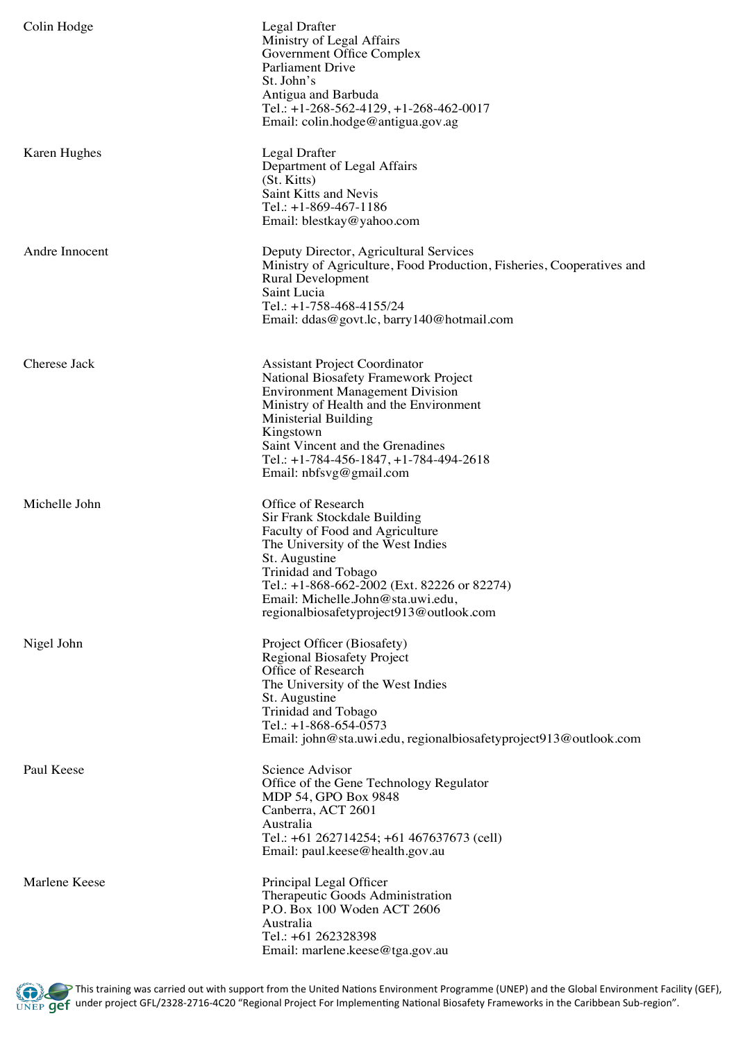| Colin Hodge    | Legal Drafter<br>Ministry of Legal Affairs<br>Government Office Complex<br>Parliament Drive<br>St. John's<br>Antigua and Barbuda<br>Tel.: $+1-268-562-4129$ , $+1-268-462-0017$<br>Email: colin.hodge@antigua.gov.ag                                                                                                       |
|----------------|----------------------------------------------------------------------------------------------------------------------------------------------------------------------------------------------------------------------------------------------------------------------------------------------------------------------------|
| Karen Hughes   | Legal Drafter<br>Department of Legal Affairs<br>(St. Kitts)<br>Saint Kitts and Nevis<br>Tel.: $+1-869-467-1186$<br>Email: blestkay@yahoo.com                                                                                                                                                                               |
| Andre Innocent | Deputy Director, Agricultural Services<br>Ministry of Agriculture, Food Production, Fisheries, Cooperatives and<br><b>Rural Development</b><br>Saint Lucia<br>Tel.: +1-758-468-4155/24<br>Email: ddas@govt.lc, barry140@hotmail.com                                                                                        |
| Cherese Jack   | <b>Assistant Project Coordinator</b><br><b>National Biosafety Framework Project</b><br><b>Environment Management Division</b><br>Ministry of Health and the Environment<br>Ministerial Building<br>Kingstown<br>Saint Vincent and the Grenadines<br>Tel.: $+1-784-456-1847$ , $+1-784-494-2618$<br>Email: nbfsvg@gmail.com |
| Michelle John  | Office of Research<br>Sir Frank Stockdale Building<br>Faculty of Food and Agriculture<br>The University of the West Indies<br>St. Augustine<br>Trinidad and Tobago<br>Tel.: +1-868-662-2002 (Ext. 82226 or 82274)<br>Email: Michelle.John@sta.uwi.edu,<br>regionalbiosafetyproject913@outlook.com                          |
| Nigel John     | Project Officer (Biosafety)<br><b>Regional Biosafety Project</b><br>Office of Research<br>The University of the West Indies<br>St. Augustine<br>Trinidad and Tobago<br>Tel.: $+1-868-654-0573$<br>Email: john@sta.uwi.edu, regionalbiosafetyproject913@outlook.com                                                         |
| Paul Keese     | Science Advisor<br>Office of the Gene Technology Regulator<br>MDP 54, GPO Box 9848<br>Canberra, ACT 2601<br>Australia<br>Tel.: +61 262714254; +61 467637673 (cell)<br>Email: paul.keese@health.gov.au                                                                                                                      |
| Marlene Keese  | Principal Legal Officer<br>Therapeutic Goods Administration<br>P.O. Box 100 Woden ACT 2606<br>Australia<br>Tel.: +61 262328398<br>Email: marlene.keese@tga.gov.au                                                                                                                                                          |